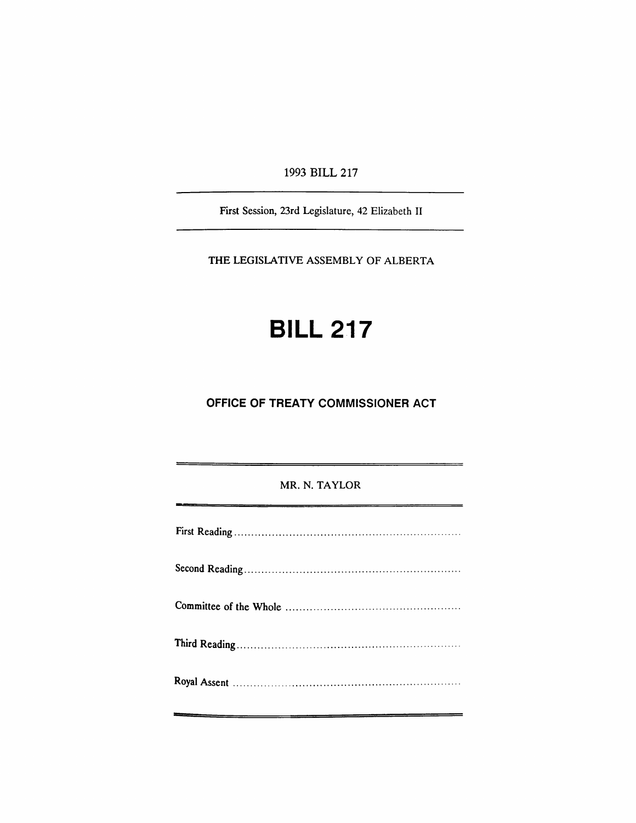1993 BILL 217

First Session, 23rd Legislature, 42 Elizabeth II

THE LEGISlATIVE ASSEMBLY OF ALBERTA

# **BILL 217**

## **OFFICE OF TREATY COMMISSIONER ACT**

## MR. N. TAYLOR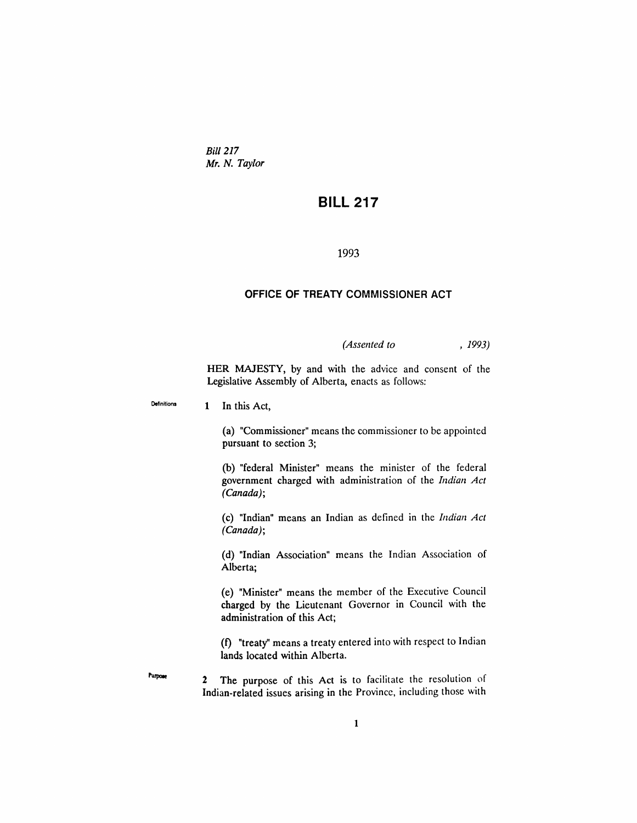*Bill 217 Mr. N. Taylor*

## **BILL 217**

#### 1993

### **OFFICE OF TREATY COMMISSIONER ACT**

*(Assented to* , 1993)

HER MAJESTY, by and with the advice and consent of the Legislative Assembly of Alberta, enacts as follows:

Definitions 1 In this Act,

Purpose

(a) "Commissioner" means the commissioner to be appointed pursuant to section 3;

(b) "federal Minister" means the minister of the federal government charged with administration of the *Indian Act (Canada);*

(c) "Indian" means an Indian as defined in the *Indian Act (Canada);*

(d) "Indian Association" means the Indian Association of Alberta;

(e) "Minister" means the member of the Executive Council charged by the Lieutenant Governor in Council with the administration of this Act;

(f) "treaty" means a treaty entered into with respect to Indian lands located within Alberta.

2 The purpose of this Act is to facilitate the resolution of Indian-related issues arising in the Province, including those with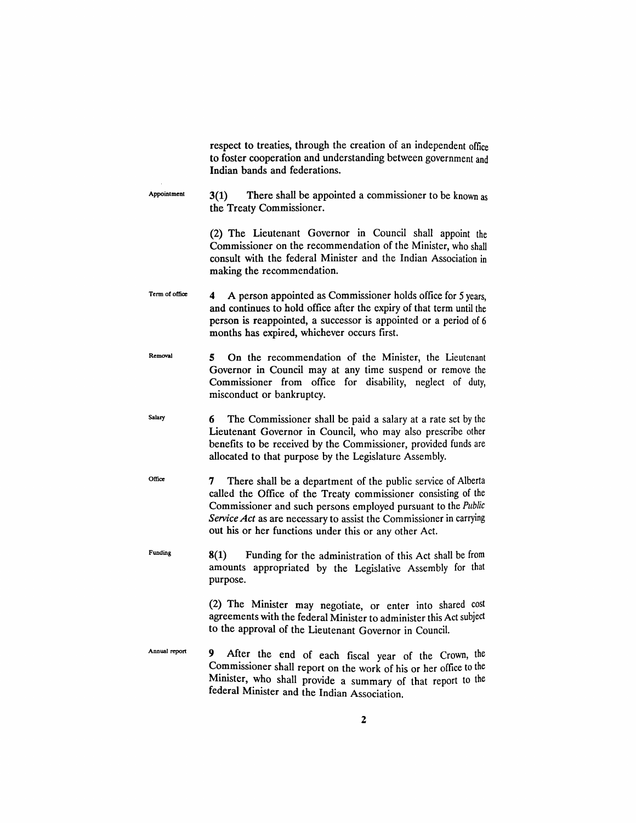|                | respect to treaties, through the creation of an independent office<br>to foster cooperation and understanding between government and<br>Indian bands and federations.                                                                                                                                                                |
|----------------|--------------------------------------------------------------------------------------------------------------------------------------------------------------------------------------------------------------------------------------------------------------------------------------------------------------------------------------|
| Appointment    | There shall be appointed a commissioner to be known as<br>3(1)<br>the Treaty Commissioner.                                                                                                                                                                                                                                           |
|                | (2) The Lieutenant Governor in Council shall appoint the<br>Commissioner on the recommendation of the Minister, who shall<br>consult with the federal Minister and the Indian Association in<br>making the recommendation.                                                                                                           |
| Term of office | A person appointed as Commissioner holds office for 5 years,<br>4<br>and continues to hold office after the expiry of that term until the<br>person is reappointed, a successor is appointed or a period of 6<br>months has expired, whichever occurs first.                                                                         |
| Removal        | On the recommendation of the Minister, the Lieutenant<br>5.<br>Governor in Council may at any time suspend or remove the<br>Commissioner from office for disability, neglect of duty,<br>misconduct or bankruptcy.                                                                                                                   |
| Salary         | The Commissioner shall be paid a salary at a rate set by the<br>6<br>Lieutenant Governor in Council, who may also prescribe other<br>benefits to be received by the Commissioner, provided funds are<br>allocated to that purpose by the Legislature Assembly.                                                                       |
| Office         | There shall be a department of the public service of Alberta<br>7<br>called the Office of the Treaty commissioner consisting of the<br>Commissioner and such persons employed pursuant to the Public<br>Service Act as are necessary to assist the Commissioner in carrying<br>out his or her functions under this or any other Act. |
| Funding        | 8(1)<br>Funding for the administration of this Act shall be from<br>amounts appropriated by the Legislative Assembly for that<br>purpose.                                                                                                                                                                                            |
|                | (2) The Minister may negotiate, or enter into shared cost<br>agreements with the federal Minister to administer this Act subject<br>to the approval of the Lieutenant Governor in Council.                                                                                                                                           |
| Annual report  | 9.<br>After the end of each fiscal year of the Crown, the<br>Commissioner shall report on the work of his or her office to the<br>Minister, who shall provide a summary of that report to the                                                                                                                                        |

federal Minister and the Indian Association.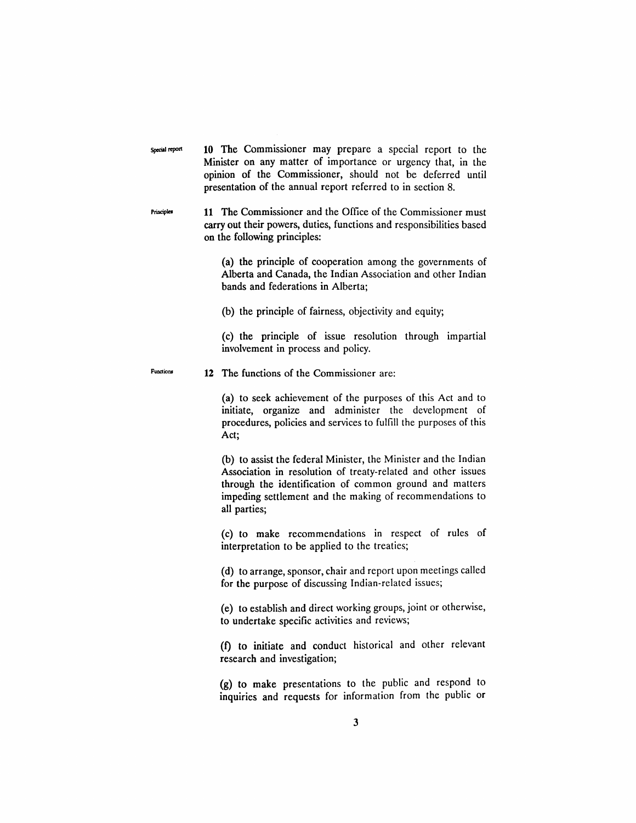Special report **10** The Commissioner may prepare a special report to the Minister on any matter of importance or urgency that, in the opinion of the Commissioner, should not be deferred until presentation of the annual report referred to in section 8.

Principia 11 The Commissioner and the Office of the Commissioner must carry out their powers, duties, functions and responsibilities based on the following principles:

> (a) the principle of cooperation among the governments of Alberta and Canada, the Indian Association and other Indian bands and federations in Alberta;

(b) the principle of fairness, objectivity and equity;

(c) the principle of issue resolution through impartial involvement in process and policy.

### Functions **12** The functions of the Commissioner are:

(a) to seek achievement of the purposes of this Act and to initiate, organize and administer the development of procedures, policies and services to fulfill the purposes of this Act;

(b) to assist the federal Minister, the Minister and the Indian Association in resolution of treaty-related and other issues through the identification of common ground and matters impeding settlement and the making of recommendations to all parties;

(c) to make recommendations in respect of rules of interpretation to be applied to the treaties;

(d) to arrange, sponsor, chair and report upon meetings called for the purpose of discussing Indian-related issues;

(e) to establish and direct working groups, joint or otherwise, to undertake specific activities and reviews;

(f) to initiate and conduct historical and other relevant research and investigation;

(g) to make presentations to the public and respond to inquiries and requests for information from the public or